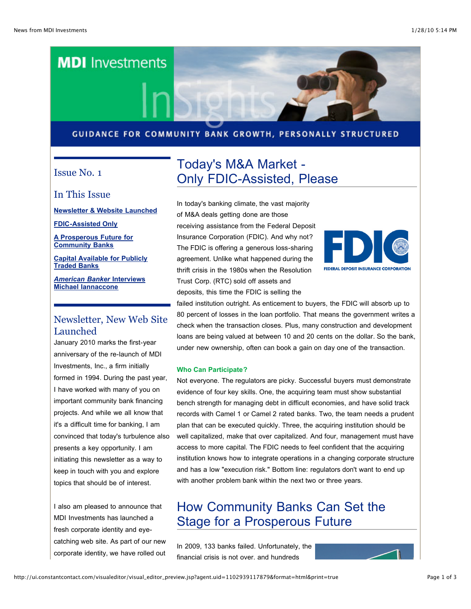

#### GUIDANCE FOR COMMUNITY BANK GROWTH, PERSONALLY STRUCTURED

### Issue No. 1

In This Issue

**[Newsletter](http://ui.constantcontact.com/visualeditor/visual_editor_preview.jsp?agent.uid=1102939117879&format=html&printFrame=true#LETTER.BLOCK4) & Website Launched**

**[FDIC-Assisted](http://ui.constantcontact.com/visualeditor/visual_editor_preview.jsp?agent.uid=1102939117879&format=html&printFrame=true#LETTER.BLOCK6) Only**

**A [Prosperous](http://ui.constantcontact.com/visualeditor/visual_editor_preview.jsp?agent.uid=1102939117879&format=html&printFrame=true#LETTER.BLOCK7) Future for Community Banks**

**Capital [Available](http://ui.constantcontact.com/visualeditor/visual_editor_preview.jsp?agent.uid=1102939117879&format=html&printFrame=true#LETTER.BLOCK8) for Publicly Traded Banks**

*American Banker* **Interviews Michael [Iannaccone](http://ui.constantcontact.com/visualeditor/visual_editor_preview.jsp?agent.uid=1102939117879&format=html&printFrame=true#LETTER.BLOCK9)**

### Newsletter, New Web Site Launched

January 2010 marks the first-year anniversary of the re-launch of MDI Investments, Inc., a firm initially formed in 1994. During the past year, I have worked with many of you on important community bank financing projects. And while we all know that it's a difficult time for banking, I am convinced that today's turbulence also presents a key opportunity. I am initiating this newsletter as a way to keep in touch with you and explore topics that should be of interest.

I also am pleased to announce that MDI Investments has launched a fresh corporate identity and eyecatching web site. As part of our new corporate identity, we have rolled out

# Today's M&A Market - Only FDIC-Assisted, Please

In today's banking climate, the vast majority of M&A deals getting done are those receiving assistance from the Federal Deposit Insurance Corporation (FDIC). And why not? The FDIC is offering a generous loss-sharing agreement. Unlike what happened during the thrift crisis in the 1980s when the Resolution Trust Corp. (RTC) sold off assets and deposits, this time the FDIC is selling the



failed institution outright. As enticement to buyers, the FDIC will absorb up to 80 percent of losses in the loan portfolio. That means the government writes a check when the transaction closes. Plus, many construction and development loans are being valued at between 10 and 20 cents on the dollar. So the bank, under new ownership, often can book a gain on day one of the transaction.

#### **Who Can Participate?**

Not everyone. The regulators are picky. Successful buyers must demonstrate evidence of four key skills. One, the acquiring team must show substantial bench strength for managing debt in difficult economies, and have solid track records with Camel 1 or Camel 2 rated banks. Two, the team needs a prudent plan that can be executed quickly. Three, the acquiring institution should be well capitalized, make that over capitalized. And four, management must have access to more capital. The FDIC needs to feel confident that the acquiring institution knows how to integrate operations in a changing corporate structure and has a low "execution risk." Bottom line: regulators don't want to end up with another problem bank within the next two or three years.

## How Community Banks Can Set the Stage for a Prosperous Future

In 2009, 133 banks failed. Unfortunately, the financial crisis is not over, and hundreds

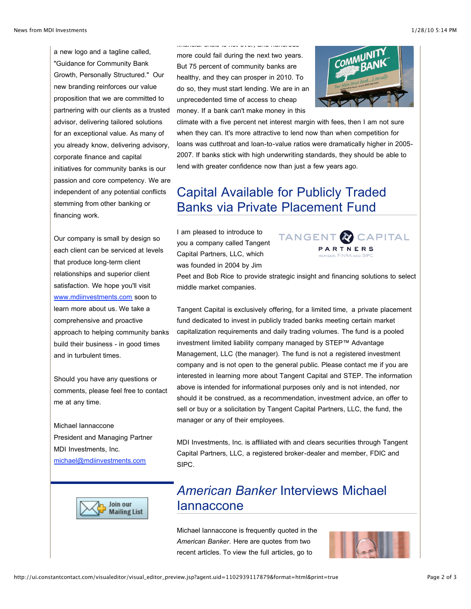a new logo and a tagline called, "Guidance for Community Bank Growth, Personally Structured." Our new branding reinforces our value proposition that we are committed to partnering with our clients as a trusted advisor, delivering tailored solutions for an exceptional value. As many of you already know, delivering advisory, corporate finance and capital initiatives for community banks is our passion and core competency. We are independent of any potential conflicts stemming from other banking or financing work.

Our company is small by design so each client can be serviced at levels that produce long-term client relationships and superior client satisfaction. We hope you'll visit [www.mdiinvestments.com](http://rs6.net/tn.jsp?t=xjwwegdab.0.0.kmxwcgdab.0&ts=S0446&p=http%3A%2F%2Fwww.mdiinvestments.com&id=preview) soon to learn more about us. We take a comprehensive and proactive approach to helping community banks build their business - in good times and in turbulent times.

Should you have any questions or comments, please feel free to contact me at any time.

Michael Iannaccone President and Managing Partner MDI Investments, Inc. [michael@mdiinvestments.com](mailto:michael@mdiinvestments.com)



financial crisis is not over, and hundreds



climate with a five percent net interest margin with fees, then I am not sure when they can. It's more attractive to lend now than when competition for loans was cutthroat and loan-to-value ratios were dramatically higher in 2005- 2007. If banks stick with high underwriting standards, they should be able to lend with greater confidence now than just a few years ago.

## Capital Available for Publicly Traded Banks via Private Placement Fund

I am pleased to introduce to you a company called Tangent Capital Partners, LLC, which was founded in 2004 by Jim



Peet and Bob Rice to provide strategic insight and financing solutions to select middle market companies.

Tangent Capital is exclusively offering, for a limited time, a private placement fund dedicated to invest in publicly traded banks meeting certain market capitalization requirements and daily trading volumes. The fund is a pooled investment limited liability company managed by STEP™ Advantage Management, LLC (the manager). The fund is not a registered investment company and is not open to the general public. Please contact me if you are interested in learning more about Tangent Capital and STEP. The information above is intended for informational purposes only and is not intended, nor should it be construed, as a recommendation, investment advice, an offer to sell or buy or a solicitation by Tangent Capital Partners, LLC, the fund, the manager or any of their employees.

MDI Investments, Inc. is affiliated with and clears securities through Tangent Capital Partners, LLC, a registered broker-dealer and member, FDIC and SIPC.



## *American Banker* Interviews Michael Iannaccone

Michael Iannaccone is frequently quoted in the *American Banker*. Here are quotes from two recent articles. To view the full articles, go to